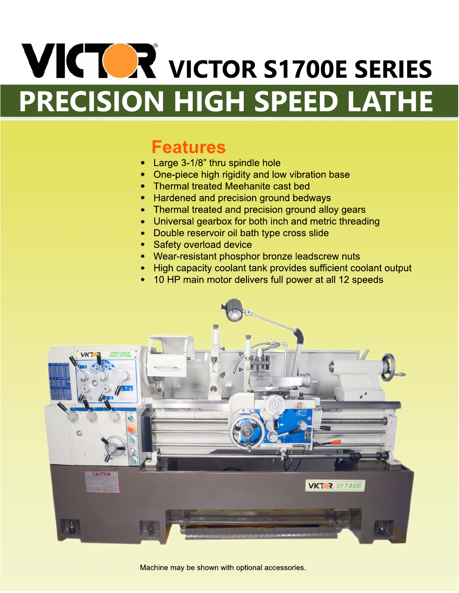# **VICTOR** VICTOR S1700E SERIES PRECISION HIGH SPEED LATHE

## **Features**

- Large 3-1/8" thru spindle hole
- One-piece high rigidity and low vibration base
- Thermal treated Meehanite cast bed
- Hardened and precision ground bedways
- Thermal treated and precision ground alloy gears
- Universal gearbox for both inch and metric threading
- Double reservoir oil bath type cross slide
- Safety overload device
- Wear-resistant phosphor bronze leadscrew nuts
- High capacity coolant tank provides sufficient coolant output
- 10 HP main motor delivers full power at all 12 speeds



Machine may be shown with optional accessories.